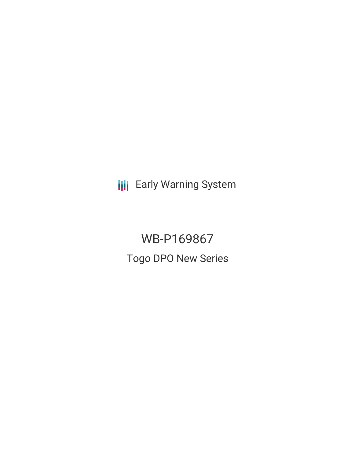**III** Early Warning System

WB-P169867 Togo DPO New Series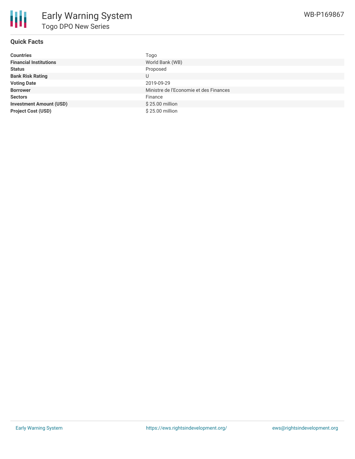# **Quick Facts**

| <b>Countries</b>               | Togo                                   |
|--------------------------------|----------------------------------------|
| <b>Financial Institutions</b>  | World Bank (WB)                        |
| <b>Status</b>                  | Proposed                               |
| <b>Bank Risk Rating</b>        | U                                      |
| <b>Voting Date</b>             | 2019-09-29                             |
| <b>Borrower</b>                | Ministre de l'Economie et des Finances |
| <b>Sectors</b>                 | Finance                                |
| <b>Investment Amount (USD)</b> | \$25.00 million                        |
| <b>Project Cost (USD)</b>      | \$25.00 million                        |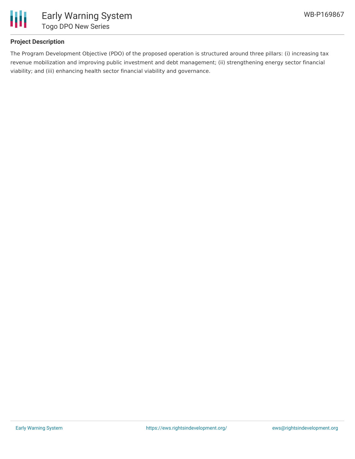

## **Project Description**

The Program Development Objective (PDO) of the proposed operation is structured around three pillars: (i) increasing tax revenue mobilization and improving public investment and debt management; (ii) strengthening energy sector financial viability; and (iii) enhancing health sector financial viability and governance.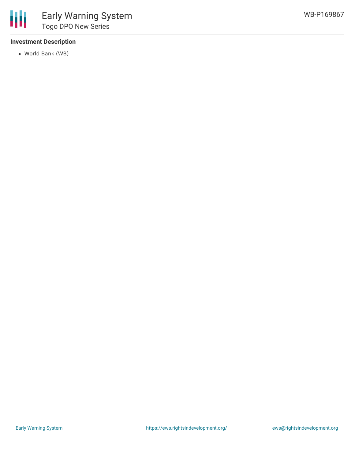#### **Investment Description**

World Bank (WB)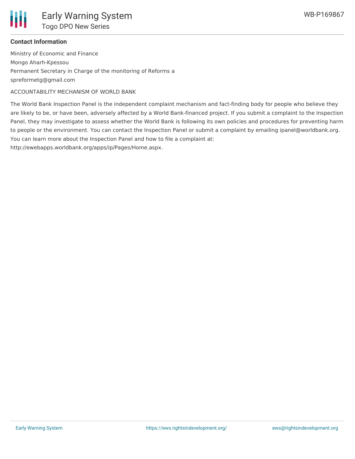

### **Contact Information**

Ministry of Economic and Finance Mongo Aharh-Kpessou Permanent Secretary in Charge of the monitoring of Reforms a spreformetg@gmail.com

ACCOUNTABILITY MECHANISM OF WORLD BANK

The World Bank Inspection Panel is the independent complaint mechanism and fact-finding body for people who believe they are likely to be, or have been, adversely affected by a World Bank-financed project. If you submit a complaint to the Inspection Panel, they may investigate to assess whether the World Bank is following its own policies and procedures for preventing harm to people or the environment. You can contact the Inspection Panel or submit a complaint by emailing ipanel@worldbank.org. You can learn more about the Inspection Panel and how to file a complaint at:

http://ewebapps.worldbank.org/apps/ip/Pages/Home.aspx.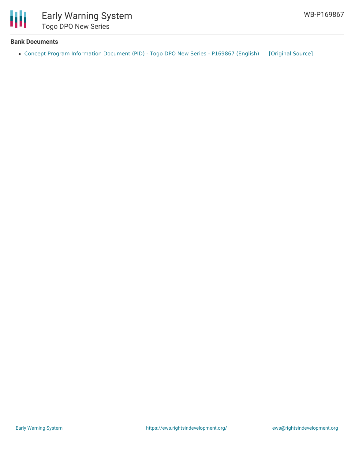

## **Bank Documents**

• Concept Program [Information](https://ewsdata.rightsindevelopment.org/files/documents/67/WB-P169867.pdf) Document (PID) - Togo DPO New Series - P169867 (English) [\[Original](http://documents.worldbank.org/curated/en/931881560204984883/pdf/Concept-Program-Information-Document-PID-Togo-DPO-New-Series-P169867.pdf) Source]